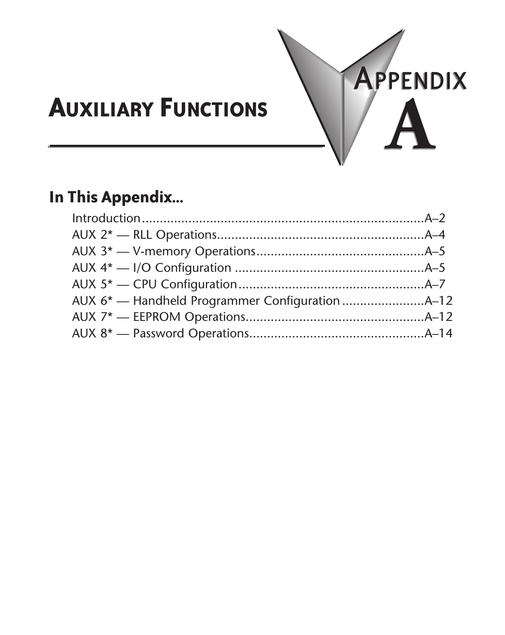

# **In This Appendix...**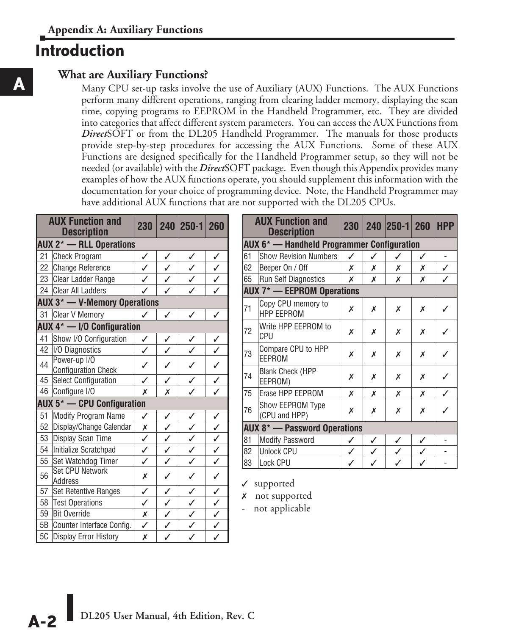# **Introduction**

### **What are Auxiliary Functions?**

Many CPU set-up tasks involve the use of Auxiliary (AUX) Functions. The AUX Functions perform many different operations, ranging from clearing ladder memory, displaying the scan time, copying programs to EEPROM in the Handheld Programmer, etc. They are divided into categories that affect different system parameters. You can access the AUX Functions from *Direct*SOFT or from the DL205 Handheld Programmer. The manuals for those products provide step-by-step procedures for accessing the AUX Functions. Some of these AUX Functions are designed specifically for the Handheld Programmer setup, so they will not be needed (or available) with the *Direct*SOFT package. Even though this Appendix provides many examples of how the AUX functions operate, you should supplement this information with the documentation for your choice of programming device. Note, the Handheld Programmer may have additional AUX functions that are not supported with the DL205 CPUs.

|                                           | <b>AUX Function and</b><br><b>Description</b>  |              |   | 230 240 250-1 260       |                         |
|-------------------------------------------|------------------------------------------------|--------------|---|-------------------------|-------------------------|
| <b>AUX 2<sup>*</sup></b> - RLL Operations |                                                |              |   |                         |                         |
| 21                                        | <b>Check Program</b>                           | ✓            | ✓ | ✓                       | ✓                       |
|                                           | 22 Change Reference                            | ✓            | J | $\checkmark$            | $\sqrt{2}$              |
|                                           | 23 Clear Ladder Range                          | $\checkmark$ | ✓ | $\overline{\checkmark}$ | $\overline{\checkmark}$ |
|                                           | 24 Clear All Ladders                           |              |   |                         |                         |
|                                           | <b>AUX 3<sup>*</sup> - V-Memory Operations</b> |              |   |                         |                         |
|                                           | 31 Clear V Memory                              | ✓            | ✓ | ✓                       | ✓                       |
|                                           | AUX $4^*$ - I/O Configuration                  |              |   |                         |                         |
| 41                                        | Show I/O Configuration                         | ✓            | ✓ | ✓                       | ✓                       |
| 42                                        | I/O Diagnostics                                | ✓            | ✓ | J                       |                         |
| 44                                        | Power-up I/O<br><b>Configuration Check</b>     | ✓            | ✓ | ✓                       |                         |
| 45                                        | <b>Select Configuration</b>                    | ✓            | ✓ | J                       | ✓                       |
| 46                                        | Configure I/O                                  | Х            | Х | ✓                       | ✓                       |
|                                           | <b>AUX 5<sup>*</sup></b> - CPU Configuration   |              |   |                         |                         |
| 51                                        | Modify Program Name                            | ✓            | ✓ | ✓                       | ✓                       |
| 52                                        | Display/Change Calendar                        | Х            | ✓ | ✓                       | ✓                       |
| 53                                        | Display Scan Time                              | ✓            | ✓ | ✓                       | $\checkmark$            |
| 54                                        | Initialize Scratchpad                          | ✓            | ✓ | ✓                       | J                       |
| 55                                        | Set Watchdog Timer                             | ✓            | ✓ | ✓                       | $\checkmark$            |
| 56                                        | <b>Set CPU Network</b><br>Address              | X            | ✓ | ✓                       | ✓                       |
| 57                                        | Set Retentive Ranges                           | ✓            | ✓ | ✓                       | ✓                       |
| 58                                        | <b>Test Operations</b>                         | ✓            | ✓ | ✓                       | ✓                       |
| 59                                        | <b>Bit Override</b>                            | Х            | ✓ | ✓                       | $\checkmark$            |
| 5B                                        | Counter Interface Config.                      | ✓            | ✓ | ✓                       | ✓                       |
| 5C                                        | <b>Display Error History</b>                   | Х            | ✓ | J                       | J                       |

|    | <b>AUX Function and</b><br><b>Description</b>  |   |   | 230   240   250-1   260 |   | <b>HPP</b> |  |
|----|------------------------------------------------|---|---|-------------------------|---|------------|--|
|    | AUX 6* — Handheld Programmer Configuration     |   |   |                         |   |            |  |
| 61 | <b>Show Revision Numbers</b>                   | ✓ | ✓ | ✓                       | ✓ |            |  |
| 62 | Beeper On / Off                                | х | Х | Х                       | Х | ✓          |  |
| 65 | <b>Run Self Diagnostics</b>                    | х | Х | х                       | Х |            |  |
|    | <b>AUX 7* - EEPROM Operations</b>              |   |   |                         |   |            |  |
| 71 | Copy CPU memory to<br><b>HPP EEPROM</b>        | Х | Х | Х                       | x | ✓          |  |
| 72 | Write HPP EEPROM to<br><b>CPU</b>              | х | Х | Х                       | x | ✓          |  |
| 73 | Compare CPU to HPP<br>EEPROM                   | х | Х | Х                       | x |            |  |
| 74 | <b>Blank Check (HPP</b><br>EEPROM)             | х | Х | Х                       | х |            |  |
| 75 | Erase HPP EEPROM                               | х | Х | Х                       | Х | ✓          |  |
| 76 | Show EEPROM Type<br>(CPU and HPP)              | Х | Х | Х                       | Х |            |  |
|    | <b>AUX 8<sup>*</sup></b> - Password Operations |   |   |                         |   |            |  |
| 81 | <b>Modify Password</b>                         | ✓ | ✓ | ✓                       | ✓ |            |  |
| 82 | <b>Unlock CPU</b>                              | ✓ | ✓ | $\checkmark$            | ✓ |            |  |
| 83 | Lock CPU                                       | ✓ | ✓ | ✓                       | ✓ |            |  |

 $\checkmark$  supported

*x* not supported

- not applicable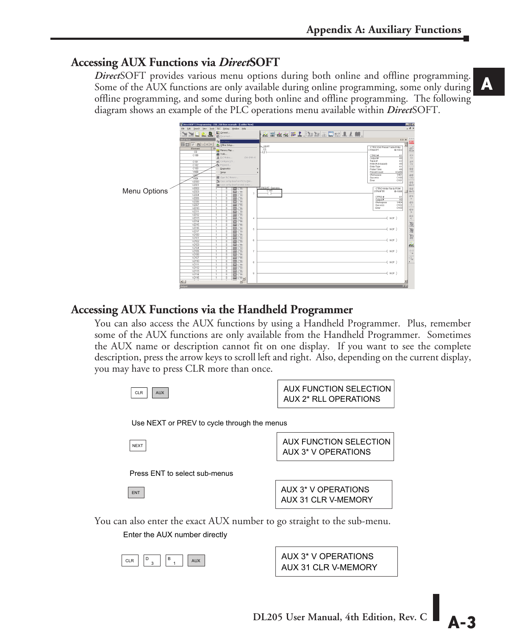### **Accessing AUX Functions via** *Direct***SOFT**

*Direct*SOFT provides various menu options during both online and offline programming. Some of the AUX functions are only available during online programming, some only during offline programming, and some during both online and offline programming. The following diagram shows an example of the PLC operations menu available within *Direct*SOFT.



#### **Accessing AUX Functions via the Handheld Programmer**

You can also access the AUX functions by using a Handheld Programmer. Plus, remember some of the AUX functions are only available from the Handheld Programmer. Sometimes the AUX name or description cannot fit on one display. If you want to see the complete description, press the arrow keys to scroll left and right. Also, depending on the current display, you may have to press CLR more than once.

| CLR<br><b>AUX</b>                                                                                        | AUX FUNCTION SELECTION<br><b>AUX 2* RLL OPERATIONS</b> |  |  |  |  |
|----------------------------------------------------------------------------------------------------------|--------------------------------------------------------|--|--|--|--|
| Use NEXT or PREV to cycle through the menus                                                              |                                                        |  |  |  |  |
| <b>NEXT</b>                                                                                              | <b>AUX FUNCTION SELECTION</b><br>AUX 3* V OPERATIONS   |  |  |  |  |
| Press ENT to select sub-menus                                                                            |                                                        |  |  |  |  |
| ENT                                                                                                      | AUX 3* V OPERATIONS<br>AUX 31 CLR V-MEMORY             |  |  |  |  |
| You can also enter the exact AUX number to go straight to the sub-menu.<br>Enter the AUX number directly |                                                        |  |  |  |  |

AUX 31 CLR V-MEMORY AUX 3\* V OPERATIONS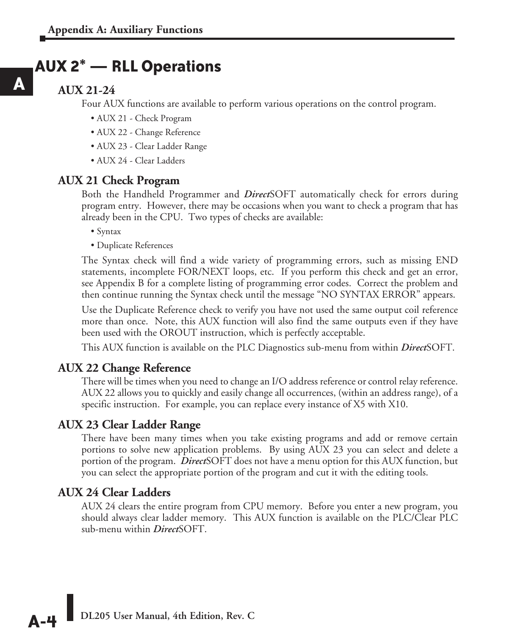# **AUX 2\* — RLL Operations**

### **AUX 21-24**

**A**

Four AUX functions are available to perform various operations on the control program.

- AUX 21 Check Program
- AUX 22 Change Reference
- AUX 23 Clear Ladder Range
- AUX 24 Clear Ladders

#### **AUX 21 Check Program**

Both the Handheld Programmer and *Direct*SOFT automatically check for errors during program entry. However, there may be occasions when you want to check a program that has already been in the CPU. Two types of checks are available:

• Syntax

• Duplicate References

The Syntax check will find a wide variety of programming errors, such as missing END statements, incomplete FOR/NEXT loops, etc. If you perform this check and get an error, see Appendix B for a complete listing of programming error codes. Correct the problem and then continue running the Syntax check until the message "NO SYNTAX ERROR" appears.

Use the Duplicate Reference check to verify you have not used the same output coil reference more than once. Note, this AUX function will also find the same outputs even if they have been used with the OROUT instruction, which is perfectly acceptable.

This AUX function is available on the PLC Diagnostics sub-menu from within *Direct*SOFT.

#### **AUX 22 Change Reference**

There will be times when you need to change an I/O address reference or control relay reference. AUX 22 allows you to quickly and easily change all occurrences, (within an address range), of a specific instruction. For example, you can replace every instance of X5 with X10.

#### **AUX 23 Clear Ladder Range**

There have been many times when you take existing programs and add or remove certain portions to solve new application problems. By using AUX 23 you can select and delete a portion of the program. *Direct*SOFT does not have a menu option for this AUX function, but you can select the appropriate portion of the program and cut it with the editing tools.

#### **AUX 24 Clear Ladders**

AUX 24 clears the entire program from CPU memory. Before you enter a new program, you should always clear ladder memory. This AUX function is available on the PLC/Clear PLC sub-menu within *Direct*SOFT.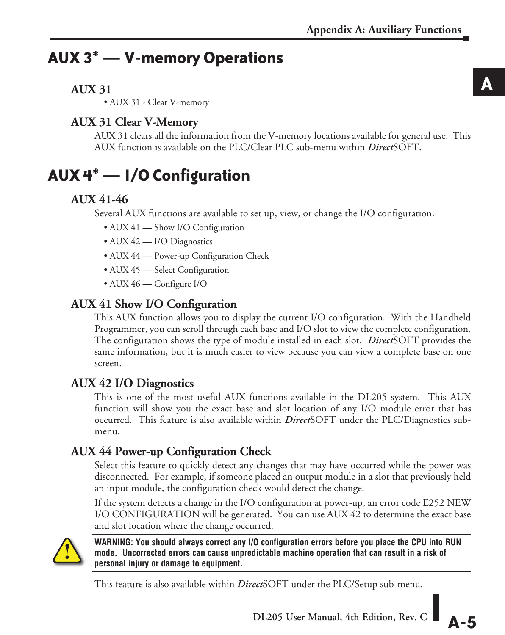# **AUX 3\* — V-memory Operations**

# **AUX 31**

• AUX 31 - Clear V-memory

# **AUX 31 Clear V-Memory**

AUX 31 clears all the information from the V-memory locations available for general use. This AUX function is available on the PLC/Clear PLC sub-menu within *Direct*SOFT.

# **AUX 4\* — I/O Configuration**

# **AUX 41-46**

Several AUX functions are available to set up, view, or change the I/O configuration.

- AUX 41 Show I/O Configuration
- AUX 42 I/O Diagnostics
- AUX 44 Power-up Configuration Check
- AUX 45 Select Configuration
- AUX 46 Configure I/O

# **AUX 41 Show I/O Configuration**

This AUX function allows you to display the current I/O configuration. With the Handheld Programmer, you can scroll through each base and I/O slot to view the complete configuration. The configuration shows the type of module installed in each slot. *Direct*SOFT provides the same information, but it is much easier to view because you can view a complete base on one screen.

# **AUX 42 I/O Diagnostics**

This is one of the most useful AUX functions available in the DL205 system. This AUX function will show you the exact base and slot location of any I/O module error that has occurred. This feature is also available within *Direct*SOFT under the PLC/Diagnostics submenu.

# **AUX 44 Power-up Configuration Check**

Select this feature to quickly detect any changes that may have occurred while the power was disconnected. For example, if someone placed an output module in a slot that previously held an input module, the configuration check would detect the change.

If the system detects a change in the I/O configuration at power-up, an error code E252 NEW I/O CONFIGURATION will be generated. You can use AUX 42 to determine the exact base and slot location where the change occurred.



**WARNING: You should always correct any I/O configuration errors before you place the CPU into RUN mode. Uncorrected errors can cause unpredictable machine operation that can result in a risk of personal injury or damage to equipment.**

This feature is also available within *Direct*SOFT under the PLC/Setup sub-menu.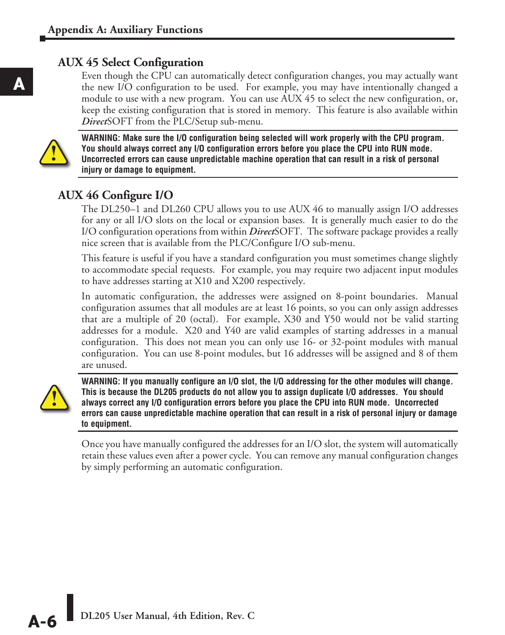## **AUX 45 Select Configuration**

Even though the CPU can automatically detect configuration changes, you may actually want the new I/O configuration to be used. For example, you may have intentionally changed a module to use with a new program. You can use AUX 45 to select the new configuration, or, keep the existing configuration that is stored in memory. This feature is also available within *Direct*SOFT from the PLC/Setup sub-menu.



**WARNING: Make sure the I/O configuration being selected will work properly with the CPU program. You should always correct any I/O configuration errors before you place the CPU into RUN mode. Uncorrected errors can cause unpredictable machine operation that can result in a risk of personal injury or damage to equipment.**

# **AUX 46 Configure I/O**

The DL250–1 and DL260 CPU allows you to use AUX 46 to manually assign I/O addresses for any or all I/O slots on the local or expansion bases. It is generally much easier to do the I/O configuration operations from within *Direct*SOFT. The software package provides a really nice screen that is available from the PLC/Configure I/O sub-menu.

This feature is useful if you have a standard configuration you must sometimes change slightly to accommodate special requests. For example, you may require two adjacent input modules to have addresses starting at X10 and X200 respectively.

In automatic configuration, the addresses were assigned on 8-point boundaries. Manual configuration assumes that all modules are at least 16 points, so you can only assign addresses that are a multiple of 20 (octal). For example, X30 and Y50 would not be valid starting addresses for a module. X20 and Y40 are valid examples of starting addresses in a manual configuration. This does not mean you can only use 16- or 32-point modules with manual configuration. You can use 8-point modules, but 16 addresses will be assigned and 8 of them are unused.



**WARNING: If you manually configure an I/O slot, the I/O addressing for the other modules will change. This is because the DL205 products do not allow you to assign duplicate I/O addresses. You should always correct any I/O configuration errors before you place the CPU into RUN mode. Uncorrected errors can cause unpredictable machine operation that can result in a risk of personal injury or damage to equipment.**

Once you have manually configured the addresses for an I/O slot, the system will automatically retain these values even after a power cycle. You can remove any manual configuration changes by simply performing an automatic configuration.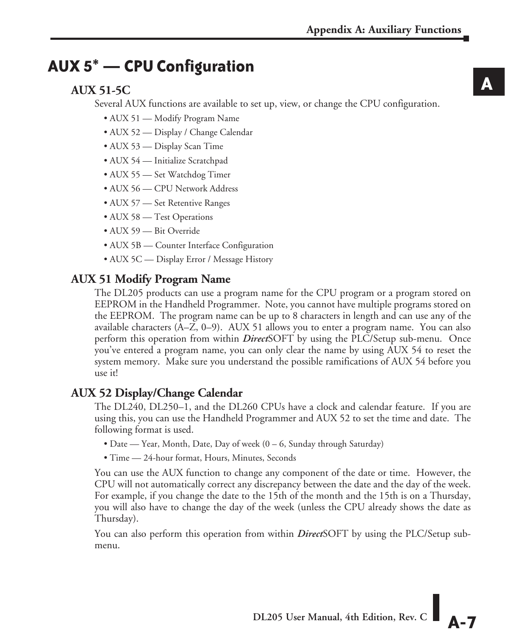# **AUX 5\* — CPU Configuration**

# **AUX 51-5C**

Several AUX functions are available to set up, view, or change the CPU configuration.

- AUX 51 Modify Program Name
- AUX 52 Display / Change Calendar
- AUX 53 Display Scan Time
- AUX 54 Initialize Scratchpad
- AUX 55 Set Watchdog Timer
- AUX 56 CPU Network Address
- AUX 57 Set Retentive Ranges
- AUX 58 Test Operations
- AUX 59 Bit Override
- AUX 5B Counter Interface Configuration
- AUX 5C Display Error / Message History

# **AUX 51 Modify Program Name**

The DL205 products can use a program name for the CPU program or a program stored on EEPROM in the Handheld Programmer. Note, you cannot have multiple programs stored on the EEPROM. The program name can be up to 8 characters in length and can use any of the available characters (A–Z, 0–9). AUX 51 allows you to enter a program name. You can also perform this operation from within *Direct*SOFT by using the PLC/Setup sub-menu. Once you've entered a program name, you can only clear the name by using AUX 54 to reset the system memory. Make sure you understand the possible ramifications of AUX 54 before you use it!

# **AUX 52 Display/Change Calendar**

The DL240, DL250–1, and the DL260 CPUs have a clock and calendar feature. If you are using this, you can use the Handheld Programmer and AUX 52 to set the time and date. The following format is used.

- Date Year, Month, Date, Day of week (0 6, Sunday through Saturday)
- Time 24-hour format, Hours, Minutes, Seconds

You can use the AUX function to change any component of the date or time. However, the CPU will not automatically correct any discrepancy between the date and the day of the week. For example, if you change the date to the 15th of the month and the 15th is on a Thursday, you will also have to change the day of the week (unless the CPU already shows the date as Thursday).

You can also perform this operation from within *Direct*SOFT by using the PLC/Setup submenu.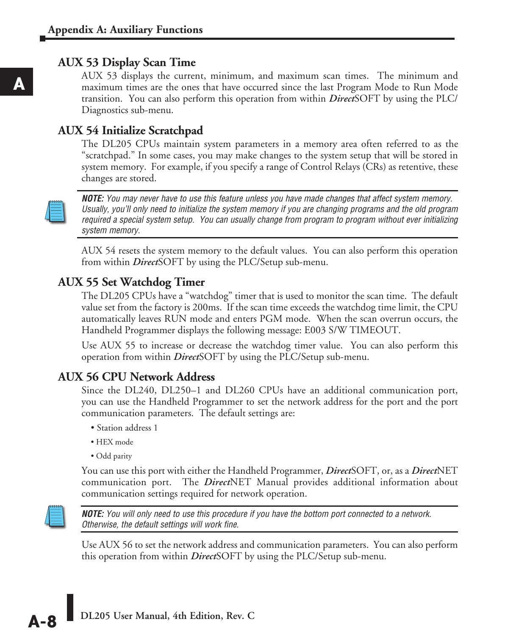### **AUX 53 Display Scan Time**

AUX 53 displays the current, minimum, and maximum scan times. The minimum and maximum times are the ones that have occurred since the last Program Mode to Run Mode transition. You can also perform this operation from within *Direct*SOFT by using the PLC/ Diagnostics sub-menu.

## **AUX 54 Initialize Scratchpad**

The DL205 CPUs maintain system parameters in a memory area often referred to as the "scratchpad." In some cases, you may make changes to the system setup that will be stored in system memory. For example, if you specify a range of Control Relays (CRs) as retentive, these changes are stored.



*NOTE: You may never have to use this feature unless you have made changes that affect system memory. Usually, you'll only need to initialize the system memory if you are changing programs and the old program required a special system setup. You can usually change from program to program without ever initializing system memory.*

AUX 54 resets the system memory to the default values. You can also perform this operation from within *Direct*SOFT by using the PLC/Setup sub-menu.

### **AUX 55 Set Watchdog Timer**

The DL205 CPUs have a "watchdog" timer that is used to monitor the scan time. The default value set from the factory is 200ms. If the scan time exceeds the watchdog time limit, the CPU automatically leaves RUN mode and enters PGM mode. When the scan overrun occurs, the Handheld Programmer displays the following message: E003 S/W TIMEOUT.

Use AUX 55 to increase or decrease the watchdog timer value. You can also perform this operation from within *Direct*SOFT by using the PLC/Setup sub-menu.

## **AUX 56 CPU Network Address**

Since the DL240, DL250–1 and DL260 CPUs have an additional communication port, you can use the Handheld Programmer to set the network address for the port and the port communication parameters. The default settings are:

- Station address 1
- HEX mode
- Odd parity

You can use this port with either the Handheld Programmer, *Direct*SOFT, or, as a *Direct*NET communication port. The *Direct*NET Manual provides additional information about communication settings required for network operation.



*NOTE: You will only need to use this procedure if you have the bottom port connected to a network. Otherwise, the default settings will work fine.*

Use AUX 56 to set the network address and communication parameters. You can also perform this operation from within *Direct*SOFT by using the PLC/Setup sub-menu.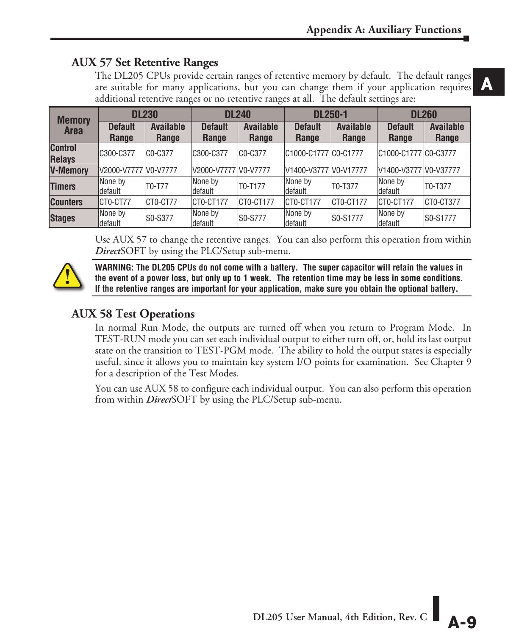## **AUX 57 Set Retentive Ranges**

**A** The DL205 CPUs provide certain ranges of retentive memory by default. The default ranges are suitable for many applications, but you can change them if your application requires additional retentive ranges or no retentive ranges at all. The default settings are:

| <b>Memory</b>                   | <b>DL230</b>            |                                  | <b>DL240</b>            |                           | <b>DL250-1</b>          |                           | <b>DL260</b>            |                           |
|---------------------------------|-------------------------|----------------------------------|-------------------------|---------------------------|-------------------------|---------------------------|-------------------------|---------------------------|
| <b>Area</b>                     | <b>Default</b><br>Range | <b>Available</b><br>Range        | <b>Default</b><br>Range | <b>Available</b><br>Range | <b>Default</b><br>Range | <b>Available</b><br>Range | <b>Default</b><br>Range | <b>Available</b><br>Range |
| <b>Control</b><br><b>Relays</b> | C300-C377               | C <sub>0</sub> -C <sub>377</sub> | C300-C377               | CO-C377                   | C1000-C1777 C0-C1777    |                           | C1000-C1777 C0-C3777    |                           |
| <b>V-Memory</b>                 | V2000-V7777 V0-V7777    |                                  | V2000-V7777 V0-V7777    |                           | V1400-V3777 V0-V17777   |                           | V1400-V3777 V0-V37777   |                           |
| <b>Timers</b>                   | None by<br>ldefault     | T0-T77                           | None by<br>default      | T0-T177                   | None by<br>ldefault     | T0-T377                   | None by<br>default      | T0-T377                   |
| <b>Counters</b>                 | CTO-CT77                | CTO-CT77                         | ICTO-CT177              | CT0-CT177                 | CTO-CT177               | CT0-CT177                 | CT0-CT177               | CT0-CT377                 |
| <b>Stages</b>                   | None by<br>ldefault     | S0-S377                          | None by<br>default      | S0-S777                   | None by<br>default      | S0-S1777                  | None by<br>default      | S0-S1777                  |

Use AUX 57 to change the retentive ranges. You can also perform this operation from within *Direct*SOFT by using the PLC/Setup sub-menu.



**WARNING: The DL205 CPUs do not come with a battery. The super capacitor will retain the values in the event of a power loss, but only up to 1 week. The retention time may be less in some conditions. If the retentive ranges are important for your application, make sure you obtain the optional battery.**

# **AUX 58 Test Operations**

In normal Run Mode, the outputs are turned off when you return to Program Mode. In TEST-RUN mode you can set each individual output to either turn off, or, hold its last output state on the transition to TEST-PGM mode. The ability to hold the output states is especially useful, since it allows you to maintain key system I/O points for examination. See Chapter 9 for a description of the Test Modes.

You can use AUX 58 to configure each individual output. You can also perform this operation from within *Direct*SOFT by using the PLC/Setup sub-menu.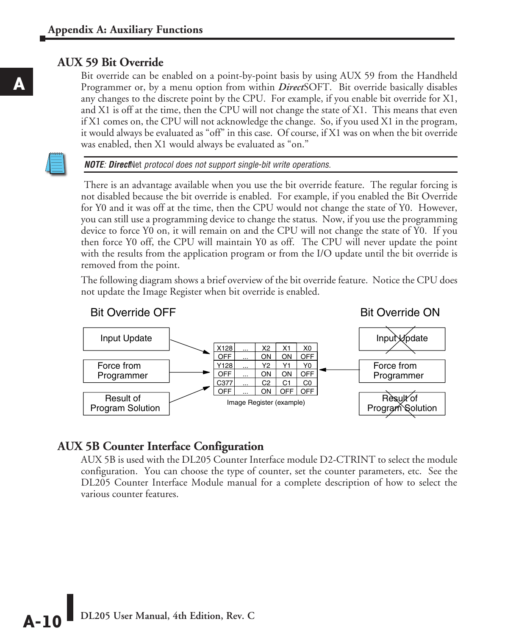#### **AUX 59 Bit Override**

Bit override can be enabled on a point-by-point basis by using AUX 59 from the Handheld Programmer or, by a menu option from within *Direct*SOFT. Bit override basically disables any changes to the discrete point by the CPU. For example, if you enable bit override for X1, and X1 is off at the time, then the CPU will not change the state of X1. This means that even if X1 comes on, the CPU will not acknowledge the change. So, if you used X1 in the program, it would always be evaluated as "off" in this case. Of course, if X1 was on when the bit override was enabled, then X1 would always be evaluated as "on."



*NOTE: Direct*Net *protocol does not support single-bit write operations.*

There is an advantage available when you use the bit override feature. The regular forcing is not disabled because the bit override is enabled. For example, if you enabled the Bit Override for Y0 and it was off at the time, then the CPU would not change the state of Y0. However, you can still use a programming device to change the status. Now, if you use the programming device to force Y0 on, it will remain on and the CPU will not change the state of Y0. If you then force Y0 off, the CPU will maintain Y0 as off. The CPU will never update the point with the results from the application program or from the I/O update until the bit override is removed from the point.

The following diagram shows a brief overview of the bit override feature. Notice the CPU does not update the Image Register when bit override is enabled.



#### **AUX 5B Counter Interface Configuration**

AUX 5B is used with the DL205 Counter Interface module D2-CTRINT to select the module configuration. You can choose the type of counter, set the counter parameters, etc. See the DL205 Counter Interface Module manual for a complete description of how to select the various counter features.

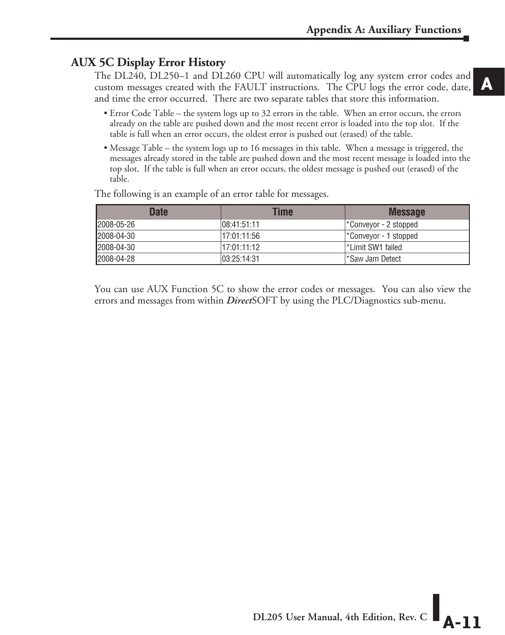## **AUX 5C Display Error History**

The DL240, DL250–1 and DL260 CPU will automatically log any system error codes and custom messages created with the FAULT instructions. The CPU logs the error code, date, and time the error occurred. There are two separate tables that store this information.

- Error Code Table the system logs up to 32 errors in the table. When an error occurs, the errors already on the table are pushed down and the most recent error is loaded into the top slot. If the table is full when an error occurs, the oldest error is pushed out (erased) of the table.
- Message Table the system logs up to 16 messages in this table. When a message is triggered, the messages already stored in the table are pushed down and the most recent message is loaded into the top slot. If the table is full when an error occurs, the oldest message is pushed out (erased) of the table.

| <b>Date</b> | Time         | <b>Message</b>       |
|-------------|--------------|----------------------|
| 2008-05-26  | 08:41:51:11  | Conveyor - 2 stopped |
| 2008-04-30  | 17:01:11:56  | Conveyor - 1 stopped |
| 2008-04-30  | 17:01:11:12  | l*Limit SW1 failed   |
| 2008-04-28  | 103:25:14:31 | l*Saw Jam Detect     |

The following is an example of an error table for messages.

You can use AUX Function 5C to show the error codes or messages. You can also view the errors and messages from within *Direct*SOFT by using the PLC/Diagnostics sub-menu.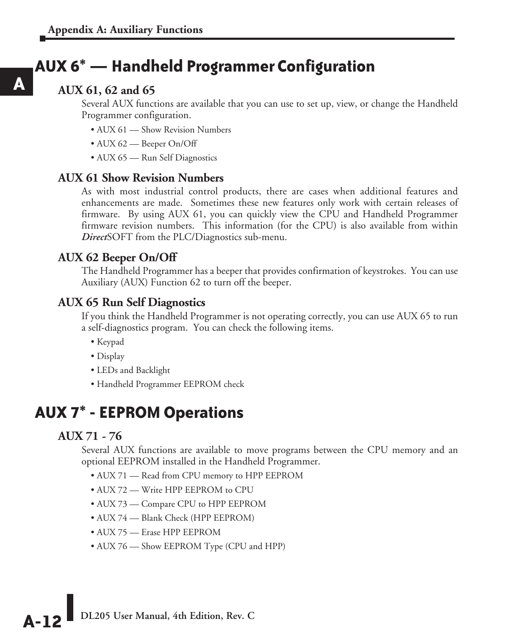# **AUX 6\* — Handheld Programmer Configuration**

### **AUX 61, 62 and 65**

**A**

Several AUX functions are available that you can use to set up, view, or change the Handheld Programmer configuration.

- AUX 61 Show Revision Numbers
- AUX 62 Beeper On/Off
- AUX 65 Run Self Diagnostics

#### **AUX 61 Show Revision Numbers**

As with most industrial control products, there are cases when additional features and enhancements are made. Sometimes these new features only work with certain releases of firmware. By using AUX 61, you can quickly view the CPU and Handheld Programmer firmware revision numbers. This information (for the CPU) is also available from within *Direct*SOFT from the PLC/Diagnostics sub-menu.

#### **AUX 62 Beeper On/Off**

The Handheld Programmer has a beeper that provides confirmation of keystrokes. You can use Auxiliary (AUX) Function 62 to turn off the beeper.

#### **AUX 65 Run Self Diagnostics**

If you think the Handheld Programmer is not operating correctly, you can use AUX 65 to run a self-diagnostics program. You can check the following items.

- Keypad
- Display
- LEDs and Backlight
- Handheld Programmer EEPROM check

# **AUX 7\* - EEPROM Operations**

#### **AUX 71 - 76**

Several AUX functions are available to move programs between the CPU memory and an optional EEPROM installed in the Handheld Programmer.

- AUX 71 Read from CPU memory to HPP EEPROM
- AUX 72 Write HPP EEPROM to CPU
- AUX 73 Compare CPU to HPP EEPROM
- AUX 74 Blank Check (HPP EEPROM)
- AUX 75 Erase HPP EEPROM
- AUX 76 Show EEPROM Type (CPU and HPP)

**A-12** DL205 User Manual, 4th Edition, Rev. C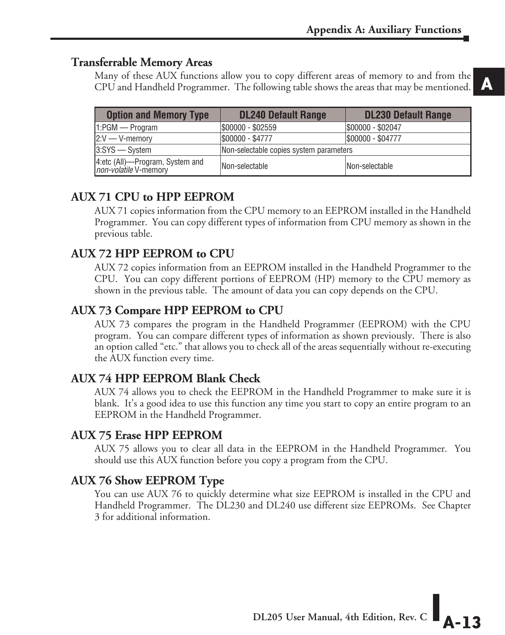#### **Transferrable Memory Areas**

Many of these AUX functions allow you to copy different areas of memory to and from the CPU and Handheld Programmer. The following table shows the areas that may be mentioned.

| <b>Option and Memory Type</b>                            | <b>DL240 Default Range</b>              | <b>DL230 Default Range</b> |  |  |
|----------------------------------------------------------|-----------------------------------------|----------------------------|--|--|
| $1:PGM \rightarrow Program$                              | \$00000 - \$02559                       | \$00000 - \$02047          |  |  |
| $2:V \rightarrow V$ -memory                              | \$00000 - \$4777                        | \$00000 - \$04777          |  |  |
| $3:SYS \rightarrow System$                               | Non-selectable copies system parameters |                            |  |  |
| 4:etc (All)—Program, System and<br>non-volatile V-memory | Non-selectable                          | Non-selectable             |  |  |

#### **AUX 71 CPU to HPP EEPROM**

AUX 71 copies information from the CPU memory to an EEPROM installed in the Handheld Programmer. You can copy different types of information from CPU memory as shown in the previous table.

#### **AUX 72 HPP EEPROM to CPU**

AUX 72 copies information from an EEPROM installed in the Handheld Programmer to the CPU. You can copy different portions of EEPROM (HP) memory to the CPU memory as shown in the previous table. The amount of data you can copy depends on the CPU.

#### **AUX 73 Compare HPP EEPROM to CPU**

AUX 73 compares the program in the Handheld Programmer (EEPROM) with the CPU program. You can compare different types of information as shown previously. There is also an option called "etc." that allows you to check all of the areas sequentially without re-executing the AUX function every time.

#### **AUX 74 HPP EEPROM Blank Check**

AUX 74 allows you to check the EEPROM in the Handheld Programmer to make sure it is blank. It's a good idea to use this function any time you start to copy an entire program to an EEPROM in the Handheld Programmer.

#### **AUX 75 Erase HPP EEPROM**

AUX 75 allows you to clear all data in the EEPROM in the Handheld Programmer. You should use this AUX function before you copy a program from the CPU.

#### **AUX 76 Show EEPROM Type**

You can use AUX 76 to quickly determine what size EEPROM is installed in the CPU and Handheld Programmer. The DL230 and DL240 use different size EEPROMs. See Chapter 3 for additional information.

**DL205 User Manual, 4th Edition, Rev. C**